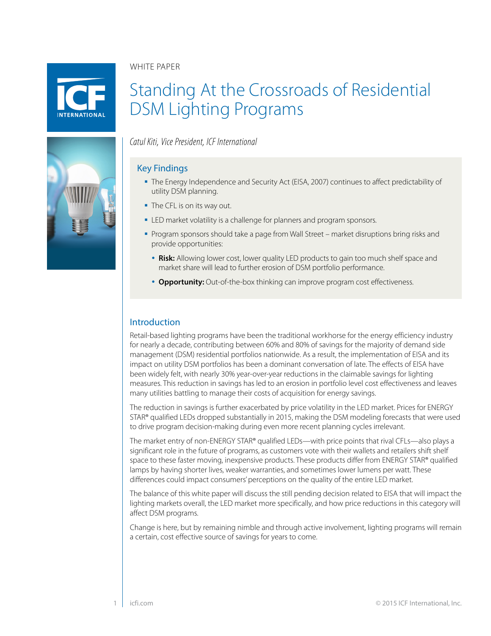WHITE PAPER



# Standing At the Crossroads of Residential DSM Lighting Programs

*Catul Kiti, Vice President, ICF International*

# Key Findings

- The Energy Independence and Security Act (EISA, 2007) continues to affect predictability of utility DSM planning.
- The CFL is on its way out.
- **ELED** market volatility is a challenge for planners and program sponsors.
- Program sponsors should take a page from Wall Street market disruptions bring risks and provide opportunities:
	- **Risk:** Allowing lower cost, lower quality LED products to gain too much shelf space and market share will lead to further erosion of DSM portfolio performance.
	- **Opportunity:** Out-of-the-box thinking can improve program cost effectiveness.

# Introduction

Retail-based lighting programs have been the traditional workhorse for the energy efficiency industry for nearly a decade, contributing between 60% and 80% of savings for the majority of demand side management (DSM) residential portfolios nationwide. As a result, the implementation of EISA and its impact on utility DSM portfolios has been a dominant conversation of late. The effects of EISA have been widely felt, with nearly 30% year-over-year reductions in the claimable savings for lighting measures. This reduction in savings has led to an erosion in portfolio level cost effectiveness and leaves many utilities battling to manage their costs of acquisition for energy savings.

The reduction in savings is further exacerbated by price volatility in the LED market. Prices for ENERGY STAR® qualified LEDs dropped substantially in 2015, making the DSM modeling forecasts that were used to drive program decision-making during even more recent planning cycles irrelevant.

The market entry of non-ENERGY STAR® qualified LEDs—with price points that rival CFLs—also plays a significant role in the future of programs, as customers vote with their wallets and retailers shift shelf space to these faster moving, inexpensive products. These products differ from ENERGY STAR® qualified lamps by having shorter lives, weaker warranties, and sometimes lower lumens per watt. These differences could impact consumers' perceptions on the quality of the entire LED market.

The balance of this white paper will discuss the still pending decision related to EISA that will impact the lighting markets overall, the LED market more specifically, and how price reductions in this category will affect DSM programs.

Change is here, but by remaining nimble and through active involvement, lighting programs will remain a certain, cost effective source of savings for years to come.

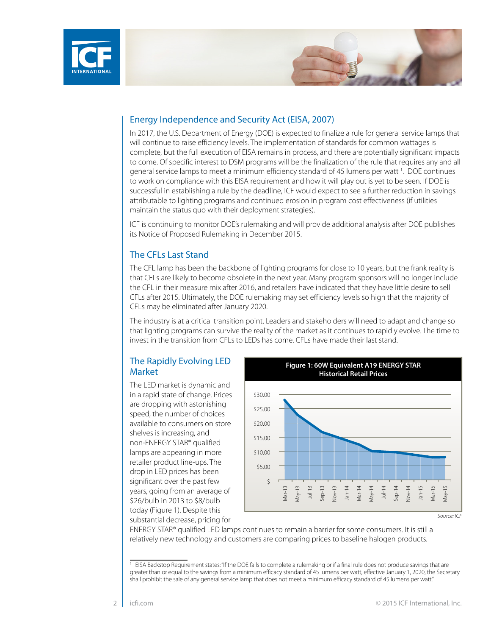



## Energy Independence and Security Act (EISA, 2007)

In 2017, the U.S. Department of Energy (DOE) is expected to finalize a rule for general service lamps that will continue to raise efficiency levels. The implementation of standards for common wattages is complete, but the full execution of EISA remains in process, and there are potentially significant impacts to come. Of specific interest to DSM programs will be the finalization of the rule that requires any and all general service lamps to meet a minimum efficiency standard of 45 lumens per watt <sup>1</sup>. DOE continues to work on compliance with this EISA requirement and how it will play out is yet to be seen. If DOE is successful in establishing a rule by the deadline, ICF would expect to see a further reduction in savings attributable to lighting programs and continued erosion in program cost effectiveness (if utilities maintain the status quo with their deployment strategies).

ICF is continuing to monitor DOE's rulemaking and will provide additional analysis after DOE publishes its Notice of Proposed Rulemaking in December 2015.

### The CFLs Last Stand

The CFL lamp has been the backbone of lighting programs for close to 10 years, but the frank reality is that CFLs are likely to become obsolete in the next year. Many program sponsors will no longer include the CFL in their measure mix after 2016, and retailers have indicated that they have little desire to sell CFLs after 2015. Ultimately, the DOE rulemaking may set efficiency levels so high that the majority of CFLs may be eliminated after January 2020.

The industry is at a critical transition point. Leaders and stakeholders will need to adapt and change so that lighting programs can survive the reality of the market as it continues to rapidly evolve. The time to invest in the transition from CFLs to LEDs has come. CFLs have made their last stand.

# The Rapidly Evolving LED Market

The LED market is dynamic and in a rapid state of change. Prices are dropping with astonishing speed, the number of choices available to consumers on store shelves is increasing, and non-ENERGY STAR® qualified lamps are appearing in more retailer product line-ups. The drop in LED prices has been significant over the past few years, going from an average of \$26/bulb in 2013 to \$8/bulb today (Figure 1). Despite this substantial decrease, pricing for

**Figure 1: 60W Equivalent A19 ENERGY STAR Historical Retail Prices**



ENERGY STAR® qualified LED lamps continues to remain a barrier for some consumers. It is still a relatively new technology and customers are comparing prices to baseline halogen products.

<sup>&</sup>lt;sup>1</sup> EISA Backstop Requirement states: "If the DOE fails to complete a rulemaking or if a final rule does not produce savings that are greater than or equal to the savings from a minimum efficacy standard of 45 lumens per watt, effective January 1, 2020, the Secretary shall prohibit the sale of any general service lamp that does not meet a minimum efficacy standard of 45 lumens per watt."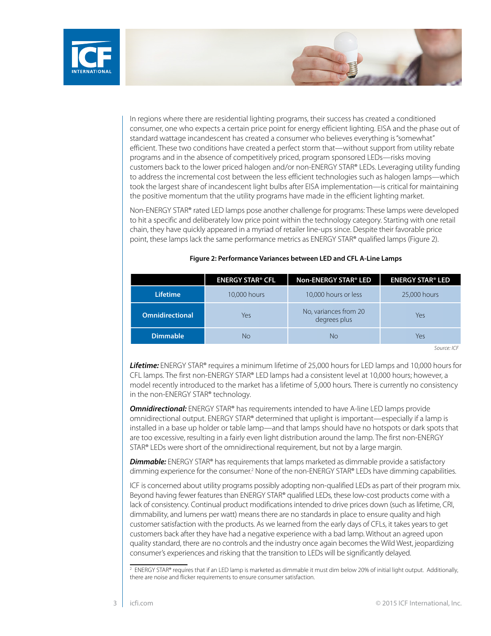



In regions where there are residential lighting programs, their success has created a conditioned consumer, one who expects a certain price point for energy efficient lighting. EISA and the phase out of standard wattage incandescent has created a consumer who believes everything is "somewhat" efficient. These two conditions have created a perfect storm that—without support from utility rebate programs and in the absence of competitively priced, program sponsored LEDs—risks moving customers back to the lower priced halogen and/or non-ENERGY STAR® LEDs. Leveraging utility funding to address the incremental cost between the less efficient technologies such as halogen lamps—which took the largest share of incandescent light bulbs after EISA implementation—is critical for maintaining the positive momentum that the utility programs have made in the efficient lighting market.

Non-ENERGY STAR® rated LED lamps pose another challenge for programs: These lamps were developed to hit a specific and deliberately low price point within the technology category. Starting with one retail chain, they have quickly appeared in a myriad of retailer line-ups since. Despite their favorable price point, these lamps lack the same performance metrics as ENERGY STAR® qualified lamps (Figure 2).

|                        | <b>ENERGY STAR® CFL</b> | Non-ENERGY STAR® LED                  | <b>ENERGY STAR® LED</b> |
|------------------------|-------------------------|---------------------------------------|-------------------------|
| <b>Lifetime</b>        | 10,000 hours            | 10,000 hours or less                  | 25,000 hours            |
| <b>Omnidirectional</b> | Yes                     | No, variances from 20<br>degrees plus | Yes                     |
| <b>Dimmable</b>        | No                      | <b>No</b>                             | Yes                     |

#### **Figure 2: Performance Variances between LED and CFL A-Line Lamps**

*Source: ICF*

*Lifetime:* ENERGY STAR® requires a minimum lifetime of 25,000 hours for LED lamps and 10,000 hours for CFL lamps. The first non-ENERGY STAR® LED lamps had a consistent level at 10,000 hours; however, a model recently introduced to the market has a lifetime of 5,000 hours. There is currently no consistency in the non-ENERGY STAR® technology.

**Omnidirectional:** ENERGY STAR® has requirements intended to have A-line LED lamps provide omnidirectional output. ENERGY STAR® determined that uplight is important—especially if a lamp is installed in a base up holder or table lamp—and that lamps should have no hotspots or dark spots that are too excessive, resulting in a fairly even light distribution around the lamp. The first non-ENERGY STAR® LEDs were short of the omnidirectional requirement, but not by a large margin.

**Dimmable:** ENERGY STAR® has requirements that lamps marketed as dimmable provide a satisfactory dimming experience for the consumer.<sup>2</sup> None of the non-ENERGY STAR® LEDs have dimming capabilities.

ICF is concerned about utility programs possibly adopting non-qualified LEDs as part of their program mix. Beyond having fewer features than ENERGY STAR® qualified LEDs, these low-cost products come with a lack of consistency. Continual product modifications intended to drive prices down (such as lifetime, CRI, dimmability, and lumens per watt) means there are no standards in place to ensure quality and high customer satisfaction with the products. As we learned from the early days of CFLs, it takes years to get customers back after they have had a negative experience with a bad lamp. Without an agreed upon quality standard, there are no controls and the industry once again becomes the Wild West, jeopardizing consumer's experiences and risking that the transition to LEDs will be significantly delayed.

<sup>&</sup>lt;sup>2</sup> ENERGY STAR® requires that if an LED lamp is marketed as dimmable it must dim below 20% of initial light output. Additionally, there are noise and flicker requirements to ensure consumer satisfaction.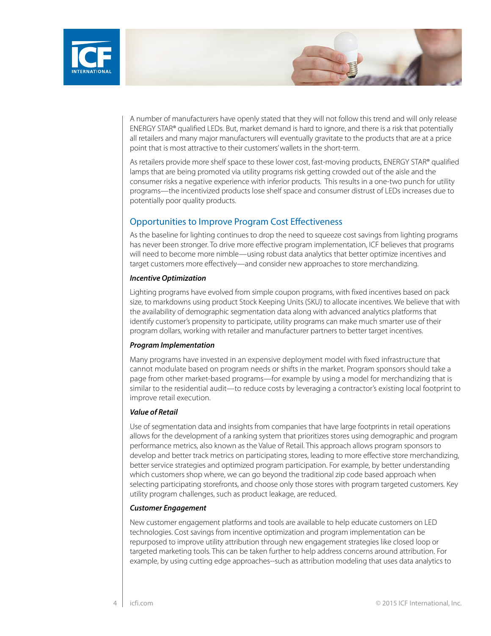



A number of manufacturers have openly stated that they will not follow this trend and will only release ENERGY STAR® qualified LEDs. But, market demand is hard to ignore, and there is a risk that potentially all retailers and many major manufacturers will eventually gravitate to the products that are at a price point that is most attractive to their customers' wallets in the short-term.

As retailers provide more shelf space to these lower cost, fast-moving products, ENERGY STAR® qualified lamps that are being promoted via utility programs risk getting crowded out of the aisle and the consumer risks a negative experience with inferior products. This results in a one-two punch for utility programs—the incentivized products lose shelf space and consumer distrust of LEDs increases due to potentially poor quality products.

# Opportunities to Improve Program Cost Effectiveness

As the baseline for lighting continues to drop the need to squeeze cost savings from lighting programs has never been stronger. To drive more effective program implementation, ICF believes that programs will need to become more nimble—using robust data analytics that better optimize incentives and target customers more effectively—and consider new approaches to store merchandizing.

#### *Incentive Optimization*

Lighting programs have evolved from simple coupon programs, with fixed incentives based on pack size, to markdowns using product Stock Keeping Units (SKU) to allocate incentives. We believe that with the availability of demographic segmentation data along with advanced analytics platforms that identify customer's propensity to participate, utility programs can make much smarter use of their program dollars, working with retailer and manufacturer partners to better target incentives.

#### *Program Implementation*

Many programs have invested in an expensive deployment model with fixed infrastructure that cannot modulate based on program needs or shifts in the market. Program sponsors should take a page from other market-based programs—for example by using a model for merchandizing that is similar to the residential audit—to reduce costs by leveraging a contractor's existing local footprint to improve retail execution.

#### *Value of Retail*

Use of segmentation data and insights from companies that have large footprints in retail operations allows for the development of a ranking system that prioritizes stores using demographic and program performance metrics, also known as the Value of Retail. This approach allows program sponsors to develop and better track metrics on participating stores, leading to more effective store merchandizing, better service strategies and optimized program participation. For example, by better understanding which customers shop where, we can go beyond the traditional zip code based approach when selecting participating storefronts, and choose only those stores with program targeted customers. Key utility program challenges, such as product leakage, are reduced.

#### *Customer Engagement*

New customer engagement platforms and tools are available to help educate customers on LED technologies. Cost savings from incentive optimization and program implementation can be repurposed to improve utility attribution through new engagement strategies like closed loop or targeted marketing tools. This can be taken further to help address concerns around attribution. For example, by using cutting edge approaches--such as attribution modeling that uses data analytics to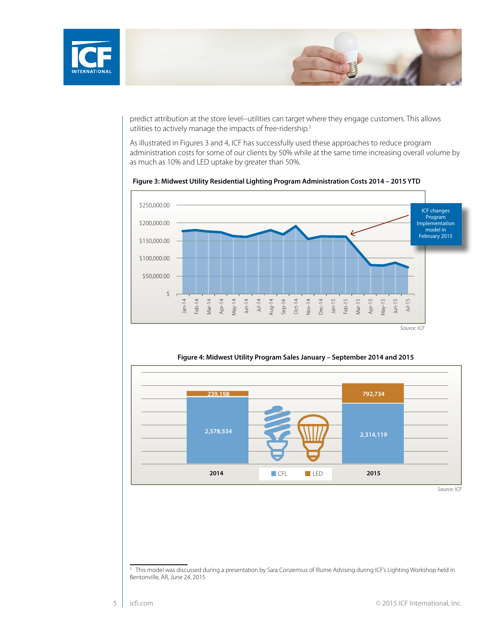

predict attribution at the store level--utilities can target where they engage customers. This allows utilities to actively manage the impacts of free-ridership.<sup>3</sup>

As illustrated in Figures 3 and 4, ICF has successfully used these approaches to reduce program administration costs for some of our clients by 50% while at the same time increasing overall volume by as much as 10% and LED uptake by greater than 50%.



 **Figure 3: Midwest Utility Residential Lighting Program Administration Costs 2014 – 2015 YTD**



**Figure 4: Midwest Utility Program Sales January – September 2014 and 2015**

<sup>&</sup>lt;sup>3</sup> This model was discussed during a presentation by Sara Conzemius of Illume Advising during ICF's Lighting Workshop held in Bentonville, AR, June 24, 2015